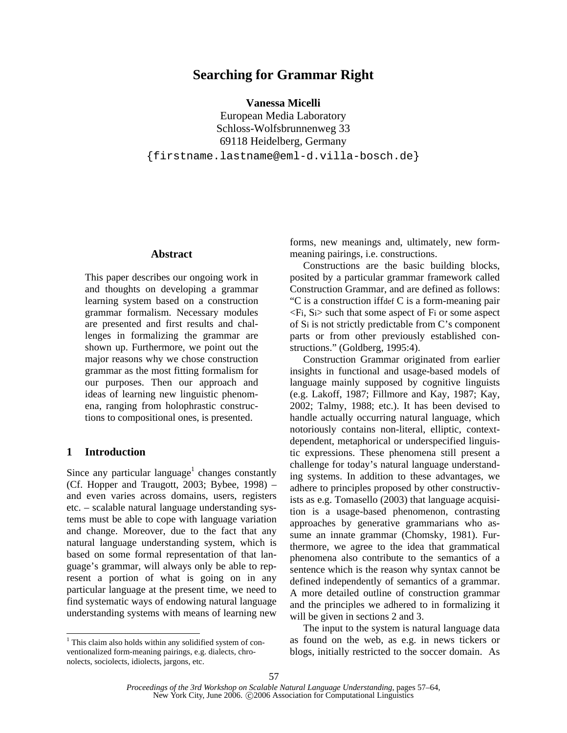# **Searching for Grammar Right**

**Vanessa Micelli** 

European Media Laboratory Schloss-Wolfsbrunnenweg 33 69118 Heidelberg, Germany {firstname.lastname@eml-d.villa-bosch.de}

## **Abstract**

This paper describes our ongoing work in and thoughts on developing a grammar learning system based on a construction grammar formalism. Necessary modules are presented and first results and challenges in formalizing the grammar are shown up. Furthermore, we point out the major reasons why we chose construction grammar as the most fitting formalism for our purposes. Then our approach and ideas of learning new linguistic phenomena, ranging from holophrastic constructions to compositional ones, is presented.

# **1 Introduction**

 $\overline{a}$ 

Since any particular language<sup>1</sup> changes constantly (Cf. Hopper and Traugott, 2003; Bybee, 1998) – and even varies across domains, users, registers etc. – scalable natural language understanding systems must be able to cope with language variation and change. Moreover, due to the fact that any natural language understanding system, which is based on some formal representation of that language's grammar, will always only be able to represent a portion of what is going on in any particular language at the present time, we need to find systematic ways of endowing natural language understanding systems with means of learning new

forms, new meanings and, ultimately, new formmeaning pairings, i.e. constructions.

Constructions are the basic building blocks, posited by a particular grammar framework called Construction Grammar, and are defined as follows: "C is a construction iffdef C is a form-meaning pair  $\langle$ Fi, Si $>$  such that some aspect of Fi or some aspect of Si is not strictly predictable from C's component parts or from other previously established constructions." (Goldberg, 1995:4).

Construction Grammar originated from earlier insights in functional and usage-based models of language mainly supposed by cognitive linguists (e.g. Lakoff, 1987; Fillmore and Kay, 1987; Kay, 2002; Talmy, 1988; etc.). It has been devised to handle actually occurring natural language, which notoriously contains non-literal, elliptic, contextdependent, metaphorical or underspecified linguistic expressions. These phenomena still present a challenge for today's natural language understanding systems. In addition to these advantages, we adhere to principles proposed by other constructivists as e.g. Tomasello (2003) that language acquisition is a usage-based phenomenon, contrasting approaches by generative grammarians who assume an innate grammar (Chomsky, 1981). Furthermore, we agree to the idea that grammatical phenomena also contribute to the semantics of a sentence which is the reason why syntax cannot be defined independently of semantics of a grammar. A more detailed outline of construction grammar and the principles we adhered to in formalizing it will be given in sections 2 and 3.

The input to the system is natural language data as found on the web, as e.g. in news tickers or blogs, initially restricted to the soccer domain. As

<sup>&</sup>lt;sup>1</sup> This claim also holds within any solidified system of conventionalized form-meaning pairings, e.g. dialects, chronolects, sociolects, idiolects, jargons, etc.

*Proceedings of the 3rd Workshop on Scalable Natural Language Understanding*, pages 57–64, New York City, June 2006. ©2006 Association for Computational Linguistics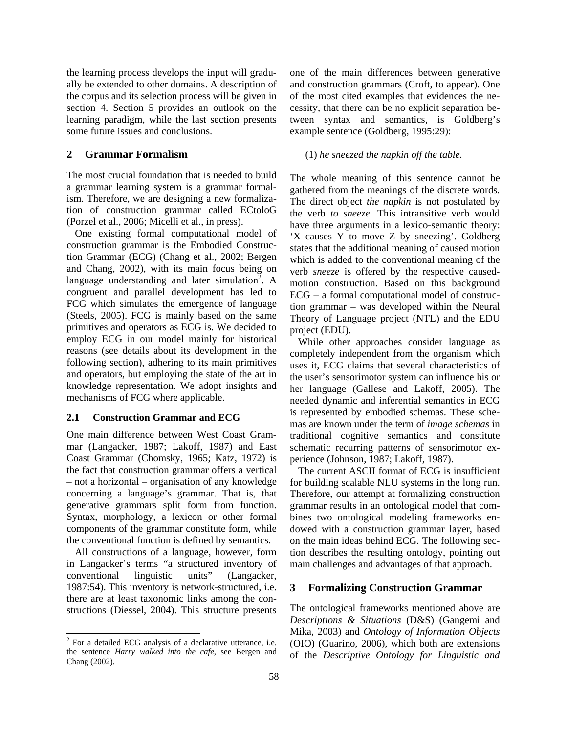the learning process develops the input will gradually be extended to other domains. A description of the corpus and its selection process will be given in section 4. Section 5 provides an outlook on the learning paradigm, while the last section presents some future issues and conclusions.

## **2 Grammar Formalism**

The most crucial foundation that is needed to build a grammar learning system is a grammar formalism. Therefore, we are designing a new formalization of construction grammar called ECtoloG (Porzel et al., 2006; Micelli et al., in press).

One existing formal computational model of construction grammar is the Embodied Construction Grammar (ECG) (Chang et al., 2002; Bergen and Chang, 2002), with its main focus being on language understanding and later simulation<sup>2</sup>. A congruent and parallel development has led to FCG which simulates the emergence of language (Steels, 2005). FCG is mainly based on the same primitives and operators as ECG is. We decided to employ ECG in our model mainly for historical reasons (see details about its development in the following section), adhering to its main primitives and operators, but employing the state of the art in knowledge representation. We adopt insights and mechanisms of FCG where applicable.

## **2.1 Construction Grammar and ECG**

One main difference between West Coast Grammar (Langacker, 1987; Lakoff, 1987) and East Coast Grammar (Chomsky, 1965; Katz, 1972) is the fact that construction grammar offers a vertical – not a horizontal – organisation of any knowledge concerning a language's grammar. That is, that generative grammars split form from function. Syntax, morphology, a lexicon or other formal components of the grammar constitute form, while the conventional function is defined by semantics.

All constructions of a language, however, form in Langacker's terms "a structured inventory of conventional linguistic units" (Langacker, 1987:54). This inventory is network-structured, i.e. there are at least taxonomic links among the constructions (Diessel, 2004). This structure presents one of the main differences between generative and construction grammars (Croft, to appear). One of the most cited examples that evidences the necessity, that there can be no explicit separation between syntax and semantics, is Goldberg's example sentence (Goldberg, 1995:29):

#### (1) *he sneezed the napkin off the table.*

The whole meaning of this sentence cannot be gathered from the meanings of the discrete words. The direct object *the napkin* is not postulated by the verb *to sneeze*. This intransitive verb would have three arguments in a lexico-semantic theory: 'X causes Y to move Z by sneezing'. Goldberg states that the additional meaning of caused motion which is added to the conventional meaning of the verb *sneeze* is offered by the respective causedmotion construction. Based on this background ECG – a formal computational model of construction grammar – was developed within the Neural Theory of Language project (NTL) and the EDU project (EDU).

While other approaches consider language as completely independent from the organism which uses it, ECG claims that several characteristics of the user's sensorimotor system can influence his or her language (Gallese and Lakoff, 2005). The needed dynamic and inferential semantics in ECG is represented by embodied schemas. These schemas are known under the term of *image schemas* in traditional cognitive semantics and constitute schematic recurring patterns of sensorimotor experience (Johnson, 1987; Lakoff, 1987).

The current ASCII format of ECG is insufficient for building scalable NLU systems in the long run. Therefore, our attempt at formalizing construction grammar results in an ontological model that combines two ontological modeling frameworks endowed with a construction grammar layer, based on the main ideas behind ECG. The following section describes the resulting ontology, pointing out main challenges and advantages of that approach.

## **3 Formalizing Construction Grammar**

The ontological frameworks mentioned above are *Descriptions & Situations* (D&S) (Gangemi and Mika, 2003) and *Ontology of Information Objects*  (OIO) (Guarino, 2006), which both are extensions of the *Descriptive Ontology for Linguistic and* 

<sup>&</sup>lt;sup>2</sup> For a detailed ECG analysis of a declarative utterance, i.e. the sentence *Harry walked into the cafe*, see Bergen and Chang (2002).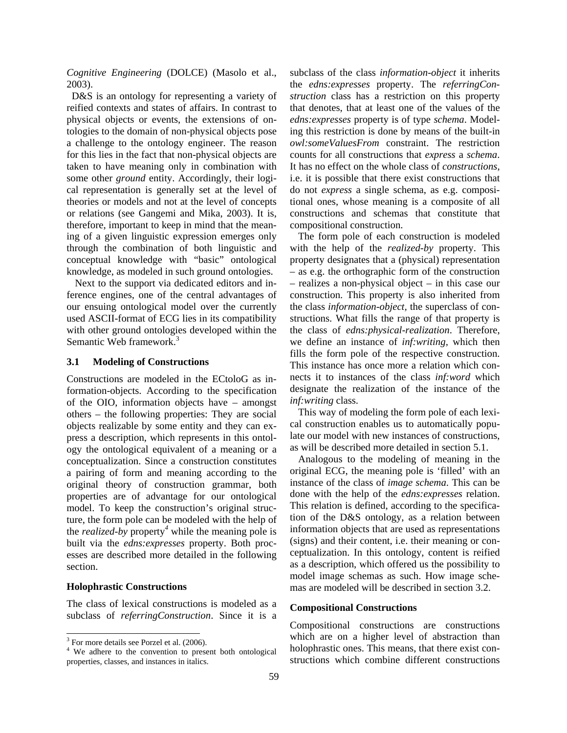*Cognitive Engineering* (DOLCE) (Masolo et al., 2003).

 D&S is an ontology for representing a variety of reified contexts and states of affairs. In contrast to physical objects or events, the extensions of ontologies to the domain of non-physical objects pose a challenge to the ontology engineer. The reason for this lies in the fact that non-physical objects are taken to have meaning only in combination with some other *ground* entity. Accordingly, their logical representation is generally set at the level of theories or models and not at the level of concepts or relations (see Gangemi and Mika, 2003). It is, therefore, important to keep in mind that the meaning of a given linguistic expression emerges only through the combination of both linguistic and conceptual knowledge with "basic" ontological knowledge, as modeled in such ground ontologies.

Next to the support via dedicated editors and inference engines, one of the central advantages of our ensuing ontological model over the currently used ASCII-format of ECG lies in its compatibility with other ground ontologies developed within the Semantic Web framework.<sup>3</sup>

## **3.1 Modeling of Constructions**

Constructions are modeled in the ECtoloG as information-objects. According to the specification of the OIO, information objects have – amongst others – the following properties: They are social objects realizable by some entity and they can express a description, which represents in this ontology the ontological equivalent of a meaning or a conceptualization. Since a construction constitutes a pairing of form and meaning according to the original theory of construction grammar, both properties are of advantage for our ontological model. To keep the construction's original structure, the form pole can be modeled with the help of the *realized-by* property*<sup>4</sup>* while the meaning pole is built via the *edns:expresses* property. Both processes are described more detailed in the following section.

#### **Holophrastic Constructions**

 $\overline{a}$ 

The class of lexical constructions is modeled as a subclass of *referringConstruction*. Since it is a subclass of the class *information-object* it inherits the *edns:expresses* property. The *referringConstruction* class has a restriction on this property that denotes, that at least one of the values of the *edns:expresses* property is of type *schema*. Modeling this restriction is done by means of the built-in *owl:someValuesFrom* constraint. The restriction counts for all constructions that *express* a *schema*. It has no effect on the whole class of *constructions*, i.e. it is possible that there exist constructions that do not *express* a single schema, as e.g. compositional ones, whose meaning is a composite of all constructions and schemas that constitute that compositional construction.

The form pole of each construction is modeled with the help of the *realized-by* property. This property designates that a (physical) representation – as e.g. the orthographic form of the construction – realizes a non-physical object – in this case our construction. This property is also inherited from the class *information-object,* the superclass of constructions. What fills the range of that property is the class of *edns:physical-realization*. Therefore, we define an instance of *inf:writing,* which then fills the form pole of the respective construction. This instance has once more a relation which connects it to instances of the class *inf:word* which designate the realization of the instance of the *inf:writing* class.

This way of modeling the form pole of each lexical construction enables us to automatically populate our model with new instances of constructions, as will be described more detailed in section 5.1.

Analogous to the modeling of meaning in the original ECG, the meaning pole is 'filled' with an instance of the class of *image schema*. This can be done with the help of the *edns:expresses* relation. This relation is defined, according to the specification of the D&S ontology, as a relation between information objects that are used as representations (signs) and their content, i.e. their meaning or conceptualization. In this ontology, content is reified as a description, which offered us the possibility to model image schemas as such. How image schemas are modeled will be described in section 3.2.

#### **Compositional Constructions**

Compositional constructions are constructions which are on a higher level of abstraction than holophrastic ones. This means, that there exist constructions which combine different constructions

<sup>&</sup>lt;sup>3</sup> For more details see Porzel et al. (2006).

<sup>&</sup>lt;sup>4</sup> We adhere to the convention to present both ontological properties, classes, and instances in italics.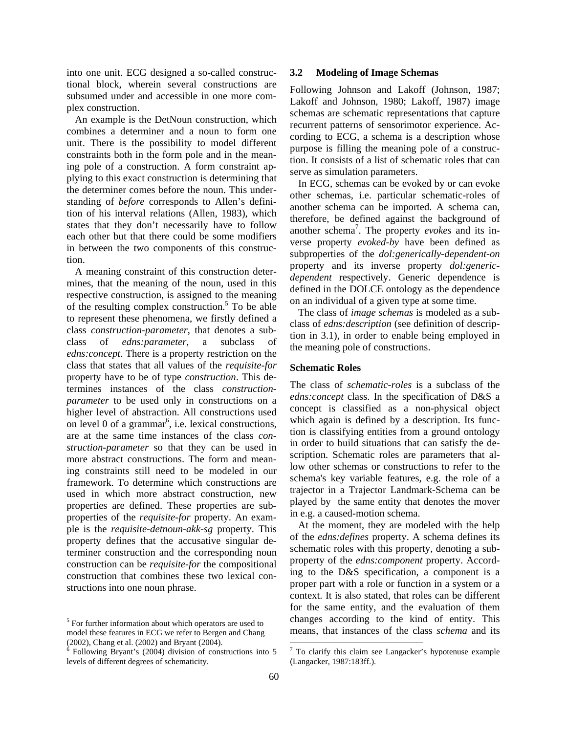into one unit. ECG designed a so-called constructional block, wherein several constructions are subsumed under and accessible in one more complex construction.

An example is the DetNoun construction, which combines a determiner and a noun to form one unit. There is the possibility to model different constraints both in the form pole and in the meaning pole of a construction. A form constraint applying to this exact construction is determining that the determiner comes before the noun. This understanding of *before* corresponds to Allen's definition of his interval relations (Allen, 1983), which states that they don't necessarily have to follow each other but that there could be some modifiers in between the two components of this construction.

A meaning constraint of this construction determines, that the meaning of the noun, used in this respective construction, is assigned to the meaning of the resulting complex construction.<sup>5</sup> To be able to represent these phenomena, we firstly defined a class *construction-parameter*, that denotes a subclass of *edns:parameter*, a subclass of *edns:concept*. There is a property restriction on the class that states that all values of the *requisite-for* property have to be of type *construction*. This determines instances of the class *constructionparameter* to be used only in constructions on a higher level of abstraction. All constructions used on level 0 of a grammar<sup> $6$ </sup>, i.e. lexical constructions, are at the same time instances of the class *construction-parameter* so that they can be used in more abstract constructions. The form and meaning constraints still need to be modeled in our framework. To determine which constructions are used in which more abstract construction, new properties are defined. These properties are subproperties of the *requisite-for* property. An example is the *requisite-detnoun-akk-sg* property. This property defines that the accusative singular determiner construction and the corresponding noun construction can be *requisite-for* the compositional construction that combines these two lexical constructions into one noun phrase.

 $\overline{a}$ 

#### **3.2 Modeling of Image Schemas**

Following Johnson and Lakoff (Johnson, 1987; Lakoff and Johnson, 1980; Lakoff, 1987) image schemas are schematic representations that capture recurrent patterns of sensorimotor experience. According to ECG, a schema is a description whose purpose is filling the meaning pole of a construction. It consists of a list of schematic roles that can serve as simulation parameters.

In ECG, schemas can be evoked by or can evoke other schemas, i.e. particular schematic-roles of another schema can be imported. A schema can, therefore, be defined against the background of another schema<sup>7</sup>. The property *evokes* and its inverse property *evoked-by* have been defined as subproperties of the *dol:generically-dependent-on* property and its inverse property *dol:genericdependent* respectively. Generic dependence is defined in the DOLCE ontology as the dependence on an individual of a given type at some time.

The class of *image schemas* is modeled as a subclass of *edns:description* (see definition of description in 3.1), in order to enable being employed in the meaning pole of constructions.

## **Schematic Roles**

The class of *schematic-roles* is a subclass of the *edns:concept* class. In the specification of D&S a concept is classified as a non-physical object which again is defined by a description. Its function is classifying entities from a ground ontology in order to build situations that can satisfy the description. Schematic roles are parameters that allow other schemas or constructions to refer to the schema's key variable features, e.g. the role of a trajector in a Trajector Landmark-Schema can be played by the same entity that denotes the mover in e.g. a caused-motion schema.

At the moment, they are modeled with the help of the *edns:defines* property. A schema defines its schematic roles with this property, denoting a subproperty of the *edns:component* property. According to the D&S specification, a component is a proper part with a role or function in a system or a context. It is also stated, that roles can be different for the same entity, and the evaluation of them changes according to the kind of entity. This means, that instances of the class *schema* and its

<sup>&</sup>lt;sup>5</sup> For further information about which operators are used to model these features in ECG we refer to Bergen and Chang  $(2002)$ , Chang et al.  $(2002)$  and Bryant  $(2004)$ .<br><sup>6</sup> Following Bryant's  $(2004)$  division of constructions into 5

levels of different degrees of schematicity.

 7 To clarify this claim see Langacker's hypotenuse example (Langacker, 1987:183ff.).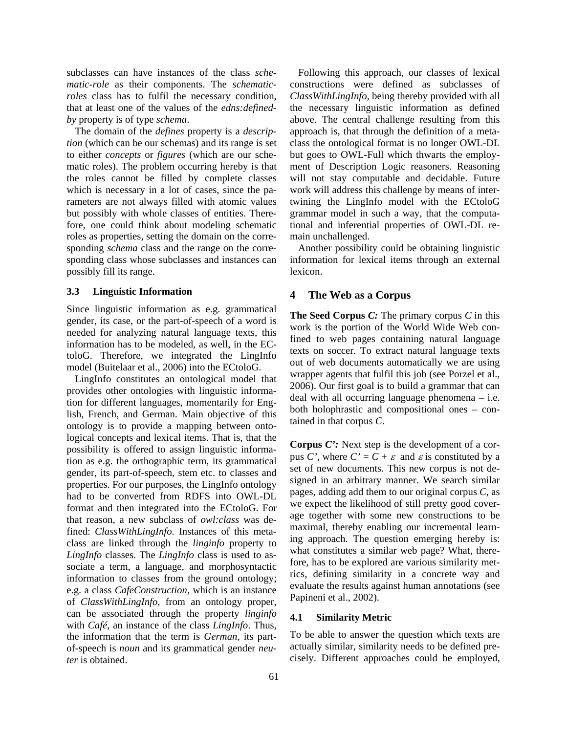subclasses can have instances of the class *schematic-role* as their components. The *schematicroles* class has to fulfil the necessary condition, that at least one of the values of the *edns:definedby* property is of type *schema*.

The domain of the *defines* property is a *description* (which can be our schemas) and its range is set to either *concepts* or *figures* (which are our schematic roles). The problem occurring hereby is that the roles cannot be filled by complete classes which is necessary in a lot of cases, since the parameters are not always filled with atomic values but possibly with whole classes of entities. Therefore, one could think about modeling schematic roles as properties, setting the domain on the corresponding *schema* class and the range on the corresponding class whose subclasses and instances can possibly fill its range.

### **3.3 Linguistic Information**

Since linguistic information as e.g. grammatical gender, its case, or the part-of-speech of a word is needed for analyzing natural language texts, this information has to be modeled, as well, in the ECtoloG. Therefore, we integrated the LingInfo model (Buitelaar et al., 2006) into the ECtoloG.

LingInfo constitutes an ontological model that provides other ontologies with linguistic information for different languages, momentarily for English, French, and German. Main objective of this ontology is to provide a mapping between ontological concepts and lexical items. That is, that the possibility is offered to assign linguistic information as e.g. the orthographic term, its grammatical gender, its part-of-speech, stem etc. to classes and properties. For our purposes, the LingInfo ontology had to be converted from RDFS into OWL-DL format and then integrated into the ECtoloG. For that reason, a new subclass of *owl:class* was defined: *ClassWithLingInfo*. Instances of this metaclass are linked through the *linginfo* property to *LingInfo* classes. The *LingInfo* class is used to associate a term, a language, and morphosyntactic information to classes from the ground ontology; e.g. a class *CafeConstruction*, which is an instance of *ClassWithLingInfo,* from an ontology proper, can be associated through the property *linginfo* with *Café*, an instance of the class *LingInfo*. Thus, the information that the term is *German*, its partof-speech is *noun* and its grammatical gender *neuter* is obtained.

Following this approach, our classes of lexical constructions were defined as subclasses of *ClassWithLingInfo,* being thereby provided with all the necessary linguistic information as defined above. The central challenge resulting from this approach is, that through the definition of a metaclass the ontological format is no longer OWL-DL but goes to OWL-Full which thwarts the employment of Description Logic reasoners. Reasoning will not stay computable and decidable. Future work will address this challenge by means of intertwining the LingInfo model with the ECtoloG grammar model in such a way, that the computational and inferential properties of OWL-DL remain unchallenged.

Another possibility could be obtaining linguistic information for lexical items through an external lexicon.

#### **4 The Web as a Corpus**

**The Seed Corpus** *C:* The primary corpus *C* in this work is the portion of the World Wide Web confined to web pages containing natural language texts on soccer. To extract natural language texts out of web documents automatically we are using wrapper agents that fulfil this job (see Porzel et al., 2006). Our first goal is to build a grammar that can deal with all occurring language phenomena – i.e. both holophrastic and compositional ones – contained in that corpus *C*.

**Corpus** *C':* Next step is the development of a corpus *C*', where  $C' = C + \varepsilon$  and  $\varepsilon$  is constituted by a set of new documents. This new corpus is not designed in an arbitrary manner. We search similar pages, adding add them to our original corpus *C*, as we expect the likelihood of still pretty good coverage together with some new constructions to be maximal, thereby enabling our incremental learning approach. The question emerging hereby is: what constitutes a similar web page? What, therefore, has to be explored are various similarity metrics, defining similarity in a concrete way and evaluate the results against human annotations (see Papineni et al., 2002).

#### **4.1 Similarity Metric**

To be able to answer the question which texts are actually similar, similarity needs to be defined precisely. Different approaches could be employed,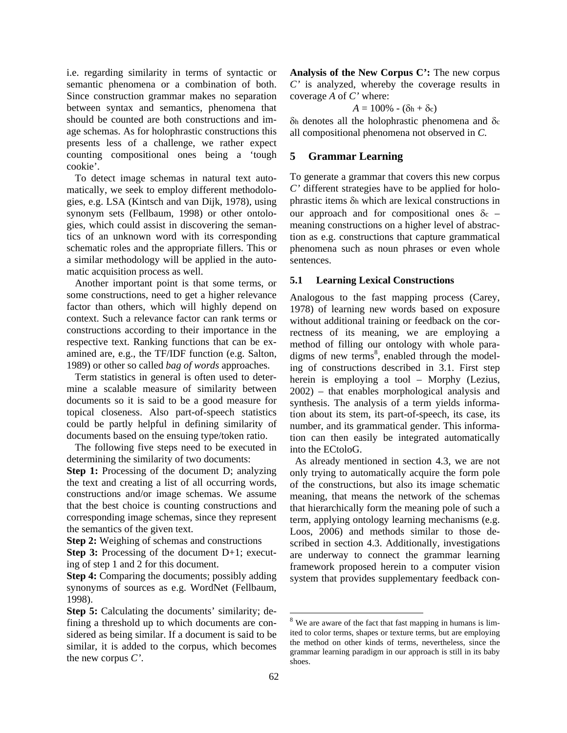i.e. regarding similarity in terms of syntactic or semantic phenomena or a combination of both. Since construction grammar makes no separation between syntax and semantics, phenomena that should be counted are both constructions and image schemas. As for holophrastic constructions this presents less of a challenge, we rather expect counting compositional ones being a 'tough cookie'.

To detect image schemas in natural text automatically, we seek to employ different methodologies, e.g. LSA (Kintsch and van Dijk, 1978), using synonym sets (Fellbaum, 1998) or other ontologies, which could assist in discovering the semantics of an unknown word with its corresponding schematic roles and the appropriate fillers. This or a similar methodology will be applied in the automatic acquisition process as well.

Another important point is that some terms, or some constructions, need to get a higher relevance factor than others, which will highly depend on context. Such a relevance factor can rank terms or constructions according to their importance in the respective text. Ranking functions that can be examined are, e.g., the TF/IDF function (e.g. Salton, 1989) or other so called *bag of words* approaches.

Term statistics in general is often used to determine a scalable measure of similarity between documents so it is said to be a good measure for topical closeness. Also part-of-speech statistics could be partly helpful in defining similarity of documents based on the ensuing type/token ratio.

The following five steps need to be executed in determining the similarity of two documents:

**Step 1:** Processing of the document D; analyzing the text and creating a list of all occurring words, constructions and/or image schemas. We assume that the best choice is counting constructions and corresponding image schemas, since they represent the semantics of the given text.

**Step 2:** Weighing of schemas and constructions

**Step 3:** Processing of the document D+1; executing of step 1 and 2 for this document.

**Step 4:** Comparing the documents; possibly adding synonyms of sources as e.g. WordNet (Fellbaum, 1998).

**Analysis of the New Corpus C':** The new corpus *C'* is analyzed, whereby the coverage results in coverage *A* of *C'* where:

 $A = 100\% - (\delta h + \delta c)$ 

δh denotes all the holophrastic phenomena and δc all compositional phenomena not observed in *C.*

# **5 Grammar Learning**

To generate a grammar that covers this new corpus *C'* different strategies have to be applied for holophrastic items δh which are lexical constructions in our approach and for compositional ones  $\delta c$  – meaning constructions on a higher level of abstraction as e.g. constructions that capture grammatical phenomena such as noun phrases or even whole sentences.

# **5.1 Learning Lexical Constructions**

Analogous to the fast mapping process (Carey, 1978) of learning new words based on exposure without additional training or feedback on the correctness of its meaning, we are employing a method of filling our ontology with whole paradigms of new terms $<sup>8</sup>$ , enabled through the model-</sup> ing of constructions described in 3.1. First step herein is employing a tool – Morphy (Lezius, 2002) – that enables morphological analysis and synthesis. The analysis of a term yields information about its stem, its part-of-speech, its case, its number, and its grammatical gender. This information can then easily be integrated automatically into the ECtoloG.

 As already mentioned in section 4.3, we are not only trying to automatically acquire the form pole of the constructions, but also its image schematic meaning, that means the network of the schemas that hierarchically form the meaning pole of such a term, applying ontology learning mechanisms (e.g. Loos, 2006) and methods similar to those described in section 4.3. Additionally, investigations are underway to connect the grammar learning framework proposed herein to a computer vision system that provides supplementary feedback con-

 $\overline{a}$ 

**Step 5:** Calculating the documents' similarity; defining a threshold up to which documents are considered as being similar. If a document is said to be similar, it is added to the corpus, which becomes the new corpus *C'*.

<sup>&</sup>lt;sup>8</sup> We are aware of the fact that fast mapping in humans is limited to color terms, shapes or texture terms, but are employing the method on other kinds of terms, nevertheless, since the grammar learning paradigm in our approach is still in its baby shoes.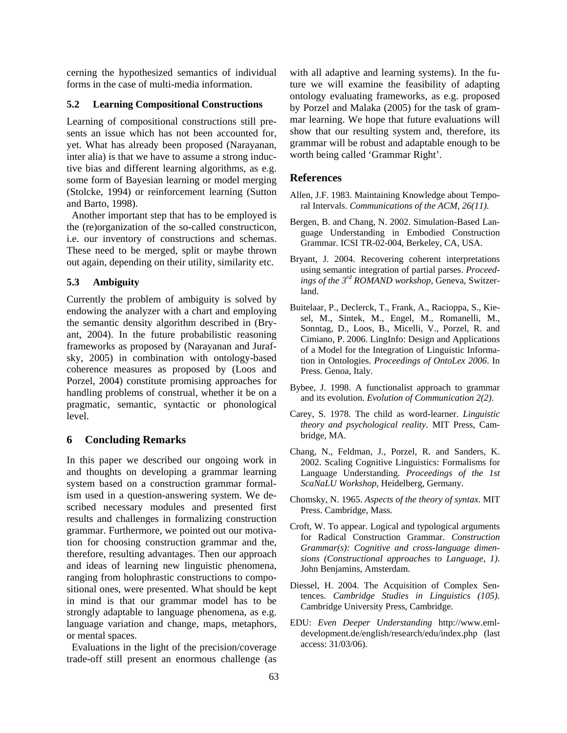cerning the hypothesized semantics of individual forms in the case of multi-media information.

#### **5.2 Learning Compositional Constructions**

Learning of compositional constructions still presents an issue which has not been accounted for, yet. What has already been proposed (Narayanan, inter alia) is that we have to assume a strong inductive bias and different learning algorithms, as e.g. some form of Bayesian learning or model merging (Stolcke, 1994) or reinforcement learning (Sutton and Barto, 1998).

 Another important step that has to be employed is the (re)organization of the so-called constructicon, i.e. our inventory of constructions and schemas. These need to be merged, split or maybe thrown out again, depending on their utility, similarity etc.

## **5.3 Ambiguity**

Currently the problem of ambiguity is solved by endowing the analyzer with a chart and employing the semantic density algorithm described in (Bryant, 2004). In the future probabilistic reasoning frameworks as proposed by (Narayanan and Jurafsky, 2005) in combination with ontology-based coherence measures as proposed by (Loos and Porzel, 2004) constitute promising approaches for handling problems of construal, whether it be on a pragmatic, semantic, syntactic or phonological level.

#### **6 Concluding Remarks**

In this paper we described our ongoing work in and thoughts on developing a grammar learning system based on a construction grammar formalism used in a question-answering system. We described necessary modules and presented first results and challenges in formalizing construction grammar. Furthermore, we pointed out our motivation for choosing construction grammar and the, therefore, resulting advantages. Then our approach and ideas of learning new linguistic phenomena, ranging from holophrastic constructions to compositional ones, were presented. What should be kept in mind is that our grammar model has to be strongly adaptable to language phenomena, as e.g. language variation and change, maps, metaphors, or mental spaces.

 Evaluations in the light of the precision/coverage trade-off still present an enormous challenge (as with all adaptive and learning systems). In the future we will examine the feasibility of adapting ontology evaluating frameworks, as e.g. proposed by Porzel and Malaka (2005) for the task of grammar learning. We hope that future evaluations will show that our resulting system and, therefore, its grammar will be robust and adaptable enough to be worth being called 'Grammar Right'.

## **References**

- Allen, J.F. 1983. Maintaining Knowledge about Temporal Intervals. *Communications of the ACM, 26(11)*.
- Bergen, B. and Chang, N. 2002. Simulation-Based Language Understanding in Embodied Construction Grammar. ICSI TR-02-004, Berkeley, CA, USA.
- Bryant, J. 2004. Recovering coherent interpretations using semantic integration of partial parses. *Proceedings of the 3rd ROMAND workshop*, Geneva, Switzerland.
- Buitelaar, P., Declerck, T., Frank, A., Racioppa, S., Kiesel, M., Sintek, M., Engel, M., Romanelli, M., Sonntag, D., Loos, B., Micelli, V., Porzel, R. and Cimiano, P. 2006. LingInfo: Design and Applications of a Model for the Integration of Linguistic Information in Ontologies. *Proceedings of OntoLex 2006*. In Press. Genoa, Italy.
- Bybee, J. 1998. A functionalist approach to grammar and its evolution. *Evolution of Communication 2(2)*.
- Carey, S. 1978. The child as word-learner. *Linguistic theory and psychological reality*. MIT Press, Cambridge, MA.
- Chang, N., Feldman, J., Porzel, R. and Sanders, K. 2002. Scaling Cognitive Linguistics: Formalisms for Language Understanding. *Proceedings of the 1st ScaNaLU Workshop*, Heidelberg, Germany.
- Chomsky, N. 1965. *Aspects of the theory of syntax*. MIT Press. Cambridge, Mass.
- Croft, W. To appear. Logical and typological arguments for Radical Construction Grammar. *Construction Grammar(s): Cognitive and cross-language dimensions (Constructional approaches to Language, 1)*. John Benjamins, Amsterdam.
- Diessel, H. 2004. The Acquisition of Complex Sentences. *Cambridge Studies in Linguistics (105)*. Cambridge University Press, Cambridge.
- EDU: *Even Deeper Understanding* http://www.emldevelopment.de/english/research/edu/index.php (last access: 31/03/06).